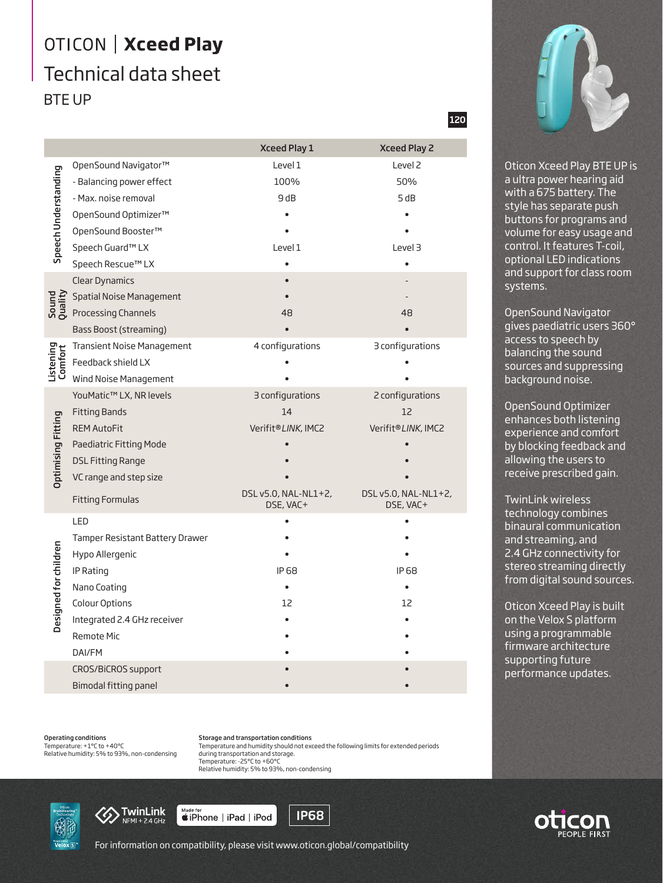## OTICON | Xceed Play Technical data sheet BTE UP

|                           |                                   | <b>Xceed Play 1</b>               | <b>Xceed Play 2</b>               |
|---------------------------|-----------------------------------|-----------------------------------|-----------------------------------|
| Speech Understanding      | OpenSound Navigator™              | Level 1                           | Level <sub>2</sub>                |
|                           | - Balancing power effect          | 100%                              | 50%                               |
|                           | - Max. noise removal              | 9 dB                              | 5 dB                              |
|                           | OpenSound Optimizer™              |                                   |                                   |
|                           | OpenSound Booster™                |                                   |                                   |
|                           | Speech Guard™ LX                  | Level 1                           | Level 3                           |
|                           | Speech Rescue™ LX                 |                                   |                                   |
| Sound<br>Quality          | <b>Clear Dynamics</b>             |                                   |                                   |
|                           | Spatial Noise Management          |                                   |                                   |
|                           | Processing Channels               | 48                                | 48                                |
|                           | <b>Bass Boost (streaming)</b>     |                                   |                                   |
| Listening<br>Comfort      | <b>Transient Noise Management</b> | 4 configurations                  | 3 configurations                  |
|                           | Feedback shield LX                |                                   |                                   |
|                           | Wind Noise Management             |                                   |                                   |
| <b>Optimising Fitting</b> | YouMatic™ LX, NR levels           | 3 configurations                  | 2 configurations                  |
|                           | <b>Fitting Bands</b>              | 14                                | 12                                |
|                           | <b>REM AutoFit</b>                | Verifit®LINK, IMC2                | Verifit®LINK, IMC2                |
|                           | Paediatric Fitting Mode           |                                   |                                   |
|                           | <b>DSL Fitting Range</b>          |                                   |                                   |
|                           | VC range and step size            |                                   |                                   |
|                           | <b>Fitting Formulas</b>           | DSL v5.0, NAL-NL1+2,<br>DSE, VAC+ | DSL v5.0, NAL-NL1+2,<br>DSE, VAC+ |
| Designed for children     | LED                               |                                   |                                   |
|                           | Tamper Resistant Battery Drawer   |                                   |                                   |
|                           | Hypo Allergenic                   |                                   |                                   |
|                           | IP Rating                         | IP 68                             | IP 68                             |
|                           | Nano Coating                      |                                   |                                   |
|                           | Colour Options                    | 12                                | 12                                |
|                           | Integrated 2.4 GHz receiver       |                                   |                                   |
|                           | Remote Mic                        |                                   |                                   |
|                           | DAI/FM                            |                                   |                                   |
|                           | CROS/BiCROS support               |                                   |                                   |
|                           | Bimodal fitting panel             |                                   |                                   |

Operating conditions Temperature: +1°C to +40°C

Relative humidity: 5% to 93%, non-condensing

Storage and transportation conditions Temperature and humidity should not exceed the following limits for extended periods during transportation and storage. Temperature: -25°C to +60°C Relative humidity: 5% to 93%, non-condensing





Made for<br>■iPhone | iPad | iPod



120



Oticon Xceed Play BTE UP is a ultra power hearing aid with a 675 battery. The style has separate push buttons for programs and volume for easy usage and control. It features T-coil, optional LED indications and support for class room systems.

OpenSound Navigator gives paediatric users 360° access to speech by balancing the sound sources and suppressing background noise.

OpenSound Optimizer enhances both listening experience and comfort by blocking feedback and allowing the users to receive prescribed gain.

TwinLink wireless technology combines binaural communication and streaming, and 2.4 GHz connectivity for stereo streaming directly from digital sound sources.

Oticon Xceed Play is built on the Velox S platform using a programmable firmware architecture supporting future performance updates.



For information on compatibility, please visit www.oticon.global/compatibility